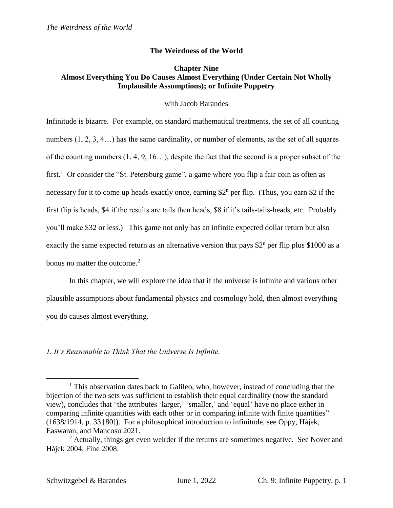# **The Weirdness of the World**

# **Chapter Nine Almost Everything You Do Causes Almost Everything (Under Certain Not Wholly Implausible Assumptions); or Infinite Puppetry**

## with Jacob Barandes

Infinitude is bizarre. For example, on standard mathematical treatments, the set of all counting numbers  $(1, 2, 3, 4...)$  has the same cardinality, or number of elements, as the set of all squares of the counting numbers  $(1, 4, 9, 16...)$ , despite the fact that the second is a proper subset of the first.<sup>1</sup> Or consider the "St. Petersburg game", a game where you flip a fair coin as often as necessary for it to come up heads exactly once, earning  $2^n$  per flip. (Thus, you earn \$2 if the first flip is heads, \$4 if the results are tails then heads, \$8 if it's tails-tails-heads, etc. Probably you'll make \$32 or less.) This game not only has an infinite expected dollar return but also exactly the same expected return as an alternative version that pays  $2^n$  per flip plus \$1000 as a bonus no matter the outcome. 2

In this chapter, we will explore the idea that if the universe is infinite and various other plausible assumptions about fundamental physics and cosmology hold, then almost everything you do causes almost everything.

## *1. It's Reasonable to Think That the Universe Is Infinite.*

 $\overline{a}$  $<sup>1</sup>$  This observation dates back to Galileo, who, however, instead of concluding that the</sup> bijection of the two sets was sufficient to establish their equal cardinality (now the standard view), concludes that "the attributes 'larger,' 'smaller,' and 'equal' have no place either in comparing infinite quantities with each other or in comparing infinite with finite quantities" (1638/1914, p. 33 [80]). For a philosophical introduction to infinitude, see Oppy, Hájek, Easwaran, and Mancosu 2021.

 $2$  Actually, things get even weirder if the returns are sometimes negative. See Nover and Hájek 2004; Fine 2008.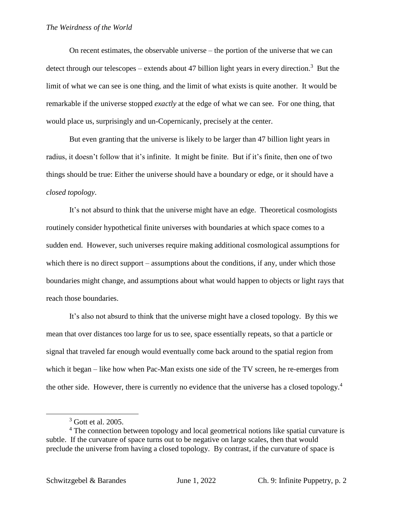On recent estimates, the observable universe – the portion of the universe that we can detect through our telescopes – extends about 47 billion light years in every direction.<sup>3</sup> But the limit of what we can see is one thing, and the limit of what exists is quite another. It would be remarkable if the universe stopped *exactly* at the edge of what we can see. For one thing, that would place us, surprisingly and un-Copernicanly, precisely at the center.

But even granting that the universe is likely to be larger than 47 billion light years in radius, it doesn't follow that it's infinite. It might be finite. But if it's finite, then one of two things should be true: Either the universe should have a boundary or edge, or it should have a *closed topology*.

It's not absurd to think that the universe might have an edge. Theoretical cosmologists routinely consider hypothetical finite universes with boundaries at which space comes to a sudden end. However, such universes require making additional cosmological assumptions for which there is no direct support – assumptions about the conditions, if any, under which those boundaries might change, and assumptions about what would happen to objects or light rays that reach those boundaries.

It's also not absurd to think that the universe might have a closed topology. By this we mean that over distances too large for us to see, space essentially repeats, so that a particle or signal that traveled far enough would eventually come back around to the spatial region from which it began – like how when Pac-Man exists one side of the TV screen, he re-emerges from the other side. However, there is currently no evidence that the universe has a closed topology.<sup>4</sup>

 $3$  Gott et al. 2005.

<sup>&</sup>lt;sup>4</sup> The connection between topology and local geometrical notions like spatial curvature is subtle. If the curvature of space turns out to be negative on large scales, then that would preclude the universe from having a closed topology. By contrast, if the curvature of space is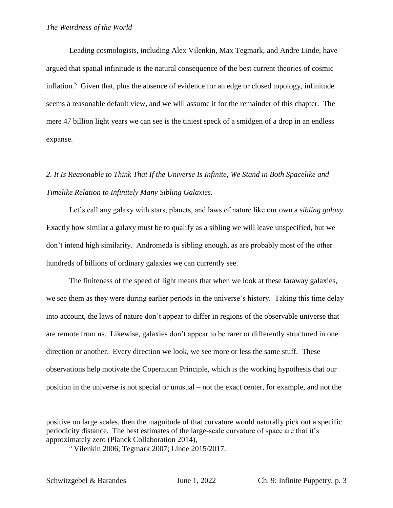Leading cosmologists, including Alex Vilenkin, Max Tegmark, and Andre Linde, have argued that spatial infinitude is the natural consequence of the best current theories of cosmic inflation.<sup>5</sup> Given that, plus the absence of evidence for an edge or closed topology, infinitude seems a reasonable default view, and we will assume it for the remainder of this chapter. The mere 47 billion light years we can see is the tiniest speck of a smidgen of a drop in an endless expanse.

# *2. It Is Reasonable to Think That If the Universe Is Infinite, We Stand in Both Spacelike and Timelike Relation to Infinitely Many Sibling Galaxies.*

Let's call any galaxy with stars, planets, and laws of nature like our own a *sibling galaxy.* Exactly how similar a galaxy must be to qualify as a sibling we will leave unspecified, but we don't intend high similarity. Andromeda is sibling enough, as are probably most of the other hundreds of billions of ordinary galaxies we can currently see.

The finiteness of the speed of light means that when we look at these faraway galaxies, we see them as they were during earlier periods in the universe's history. Taking this time delay into account, the laws of nature don't appear to differ in regions of the observable universe that are remote from us. Likewise, galaxies don't appear to be rarer or differently structured in one direction or another. Every direction we look, we see more or less the same stuff. These observations help motivate the Copernican Principle, which is the working hypothesis that our position in the universe is not special or unusual – not the exact center, for example, and not the

positive on large scales, then the magnitude of that curvature would naturally pick out a specific periodicity distance. The best estimates of the large-scale curvature of space are that it's approximately zero (Planck Collaboration 2014),

<sup>5</sup> Vilenkin 2006; Tegmark 2007; Linde 2015/2017.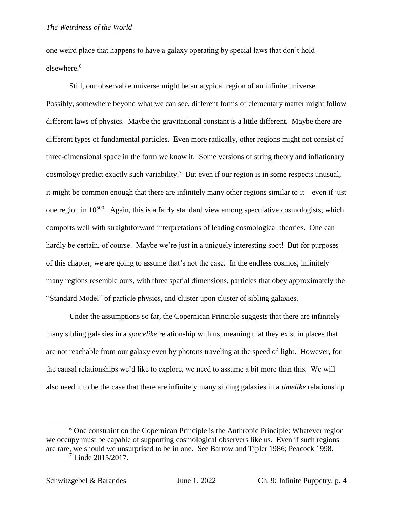one weird place that happens to have a galaxy operating by special laws that don't hold elsewhere.<sup>6</sup>

Still, our observable universe might be an atypical region of an infinite universe. Possibly, somewhere beyond what we can see, different forms of elementary matter might follow different laws of physics. Maybe the gravitational constant is a little different. Maybe there are different types of fundamental particles. Even more radically, other regions might not consist of three-dimensional space in the form we know it. Some versions of string theory and inflationary cosmology predict exactly such variability.<sup>7</sup> But even if our region is in some respects unusual, it might be common enough that there are infinitely many other regions similar to it – even if just one region in  $10^{500}$ . Again, this is a fairly standard view among speculative cosmologists, which comports well with straightforward interpretations of leading cosmological theories. One can hardly be certain, of course. Maybe we're just in a uniquely interesting spot! But for purposes of this chapter, we are going to assume that's not the case. In the endless cosmos, infinitely many regions resemble ours, with three spatial dimensions, particles that obey approximately the "Standard Model" of particle physics, and cluster upon cluster of sibling galaxies.

Under the assumptions so far, the Copernican Principle suggests that there are infinitely many sibling galaxies in a *spacelike* relationship with us, meaning that they exist in places that are not reachable from our galaxy even by photons traveling at the speed of light. However, for the causal relationships we'd like to explore, we need to assume a bit more than this. We will also need it to be the case that there are infinitely many sibling galaxies in a *timelike* relationship

<sup>6</sup> One constraint on the Copernican Principle is the Anthropic Principle: Whatever region we occupy must be capable of supporting cosmological observers like us. Even if such regions are rare, we should we unsurprised to be in one. See Barrow and Tipler 1986; Peacock 1998.

<sup>7</sup> Linde 2015/2017.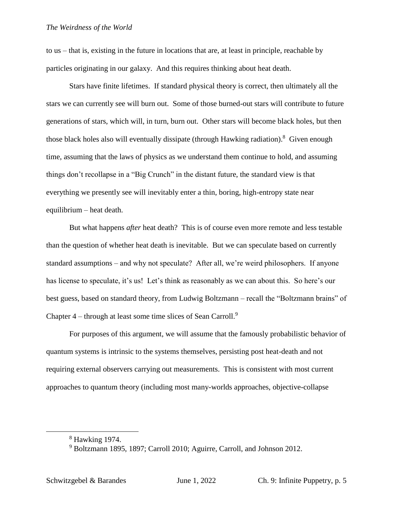to us – that is, existing in the future in locations that are, at least in principle, reachable by particles originating in our galaxy. And this requires thinking about heat death.

Stars have finite lifetimes. If standard physical theory is correct, then ultimately all the stars we can currently see will burn out. Some of those burned-out stars will contribute to future generations of stars, which will, in turn, burn out. Other stars will become black holes, but then those black holes also will eventually dissipate (through Hawking radiation).<sup>8</sup> Given enough time, assuming that the laws of physics as we understand them continue to hold, and assuming things don't recollapse in a "Big Crunch" in the distant future, the standard view is that everything we presently see will inevitably enter a thin, boring, high-entropy state near equilibrium – heat death.

But what happens *after* heat death? This is of course even more remote and less testable than the question of whether heat death is inevitable. But we can speculate based on currently standard assumptions – and why not speculate? After all, we're weird philosophers. If anyone has license to speculate, it's us! Let's think as reasonably as we can about this. So here's our best guess, based on standard theory, from Ludwig Boltzmann – recall the "Boltzmann brains" of Chapter  $4$  – through at least some time slices of Sean Carroll.<sup>9</sup>

For purposes of this argument, we will assume that the famously probabilistic behavior of quantum systems is intrinsic to the systems themselves, persisting post heat-death and not requiring external observers carrying out measurements. This is consistent with most current approaches to quantum theory (including most many-worlds approaches, objective-collapse

<sup>8</sup> Hawking 1974.

<sup>9</sup> Boltzmann 1895, 1897; Carroll 2010; Aguirre, Carroll, and Johnson 2012.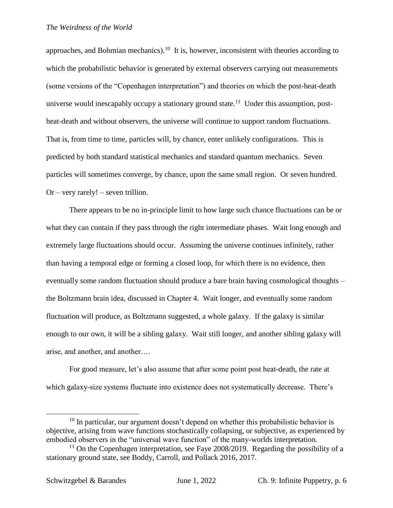approaches, and Bohmian mechanics).<sup>10</sup> It is, however, inconsistent with theories according to which the probabilistic behavior is generated by external observers carrying out measurements (some versions of the "Copenhagen interpretation") and theories on which the post-heat-death universe would inescapably occupy a stationary ground state.<sup>11</sup> Under this assumption, postheat-death and without observers, the universe will continue to support random fluctuations. That is, from time to time, particles will, by chance, enter unlikely configurations. This is predicted by both standard statistical mechanics and standard quantum mechanics. Seven particles will sometimes converge, by chance, upon the same small region. Or seven hundred.  $Or - very rarely! - seven trillion.$ 

There appears to be no in-principle limit to how large such chance fluctuations can be or what they can contain if they pass through the right intermediate phases. Wait long enough and extremely large fluctuations should occur. Assuming the universe continues infinitely, rather than having a temporal edge or forming a closed loop, for which there is no evidence, then eventually some random fluctuation should produce a bare brain having cosmological thoughts – the Boltzmann brain idea, discussed in Chapter 4. Wait longer, and eventually some random fluctuation will produce, as Boltzmann suggested, a whole galaxy. If the galaxy is similar enough to our own, it will be a sibling galaxy. Wait still longer, and another sibling galaxy will arise, and another, and another….

For good measure, let's also assume that after some point post heat-death, the rate at which galaxy-size systems fluctuate into existence does not systematically decrease. There's

 $10$  In particular, our argument doesn't depend on whether this probabilistic behavior is objective, arising from wave functions stochastically collapsing, or subjective, as experienced by embodied observers in the "universal wave function" of the many-worlds interpretation.

 $11$  On the Copenhagen interpretation, see Faye 2008/2019. Regarding the possibility of a stationary ground state, see Boddy, Carroll, and Pollack 2016, 2017.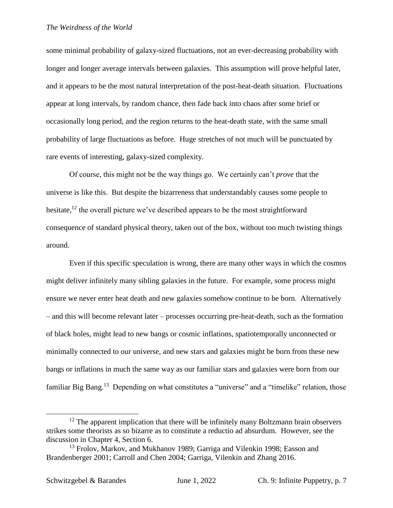some minimal probability of galaxy-sized fluctuations, not an ever-decreasing probability with longer and longer average intervals between galaxies. This assumption will prove helpful later, and it appears to be the most natural interpretation of the post-heat-death situation. Fluctuations appear at long intervals, by random chance, then fade back into chaos after some brief or occasionally long period, and the region returns to the heat-death state, with the same small probability of large fluctuations as before. Huge stretches of not much will be punctuated by rare events of interesting, galaxy-sized complexity.

Of course, this might not be the way things go. We certainly can't *prove* that the universe is like this. But despite the bizarreness that understandably causes some people to hesitate, $12$  the overall picture we've described appears to be the most straightforward consequence of standard physical theory, taken out of the box, without too much twisting things around.

Even if this specific speculation is wrong, there are many other ways in which the cosmos might deliver infinitely many sibling galaxies in the future. For example, some process might ensure we never enter heat death and new galaxies somehow continue to be born. Alternatively – and this will become relevant later – processes occurring pre-heat-death, such as the formation of black holes, might lead to new bangs or cosmic inflations, spatiotemporally unconnected or minimally connected to our universe, and new stars and galaxies might be born from these new bangs or inflations in much the same way as our familiar stars and galaxies were born from our familiar Big Bang.<sup>13</sup> Depending on what constitutes a "universe" and a "timelike" relation, those

 $12$  The apparent implication that there will be infinitely many Boltzmann brain observers strikes some theorists as so bizarre as to constitute a reductio ad absurdum. However, see the discussion in Chapter 4, Section 6.

<sup>&</sup>lt;sup>13</sup> Frolov, Markov, and Mukhanov 1989; Garriga and Vilenkin 1998; Easson and Brandenberger 2001; Carroll and Chen 2004; Garriga, Vilenkin and Zhang 2016.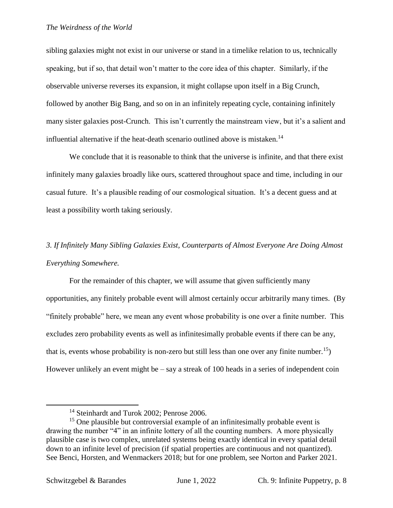sibling galaxies might not exist in our universe or stand in a timelike relation to us, technically speaking, but if so, that detail won't matter to the core idea of this chapter. Similarly, if the observable universe reverses its expansion, it might collapse upon itself in a Big Crunch, followed by another Big Bang, and so on in an infinitely repeating cycle, containing infinitely many sister galaxies post-Crunch. This isn't currently the mainstream view, but it's a salient and influential alternative if the heat-death scenario outlined above is mistaken.<sup>14</sup>

We conclude that it is reasonable to think that the universe is infinite, and that there exist infinitely many galaxies broadly like ours, scattered throughout space and time, including in our casual future. It's a plausible reading of our cosmological situation. It's a decent guess and at least a possibility worth taking seriously.

# *3. If Infinitely Many Sibling Galaxies Exist, Counterparts of Almost Everyone Are Doing Almost Everything Somewhere.*

For the remainder of this chapter, we will assume that given sufficiently many opportunities, any finitely probable event will almost certainly occur arbitrarily many times. (By "finitely probable" here, we mean any event whose probability is one over a finite number. This excludes zero probability events as well as infinitesimally probable events if there can be any, that is, events whose probability is non-zero but still less than one over any finite number.<sup>15</sup>) However unlikely an event might be  $-$  say a streak of 100 heads in a series of independent coin

<sup>&</sup>lt;sup>14</sup> Steinhardt and Turok 2002; Penrose 2006.

<sup>&</sup>lt;sup>15</sup> One plausible but controversial example of an infinitesimally probable event is drawing the number "4" in an infinite lottery of all the counting numbers. A more physically plausible case is two complex, unrelated systems being exactly identical in every spatial detail down to an infinite level of precision (if spatial properties are continuous and not quantized). See Benci, Horsten, and Wenmackers 2018; but for one problem, see Norton and Parker 2021.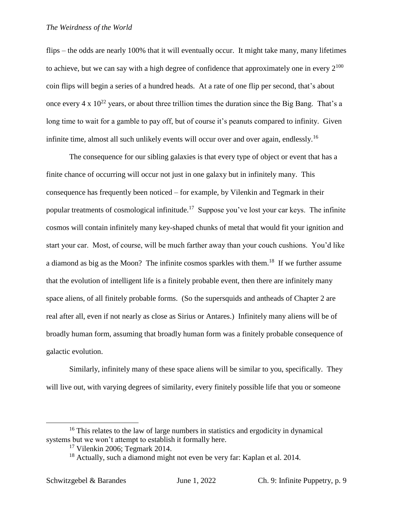flips – the odds are nearly 100% that it will eventually occur. It might take many, many lifetimes to achieve, but we can say with a high degree of confidence that approximately one in every  $2^{100}$ coin flips will begin a series of a hundred heads. At a rate of one flip per second, that's about once every 4 x  $10^{22}$  years, or about three trillion times the duration since the Big Bang. That's a long time to wait for a gamble to pay off, but of course it's peanuts compared to infinity. Given infinite time, almost all such unlikely events will occur over and over again, endlessly.<sup>16</sup>

The consequence for our sibling galaxies is that every type of object or event that has a finite chance of occurring will occur not just in one galaxy but in infinitely many. This consequence has frequently been noticed – for example, by Vilenkin and Tegmark in their popular treatments of cosmological infinitude.<sup>17</sup> Suppose you've lost your car keys. The infinite cosmos will contain infinitely many key-shaped chunks of metal that would fit your ignition and start your car. Most, of course, will be much farther away than your couch cushions. You'd like a diamond as big as the Moon? The infinite cosmos sparkles with them.<sup>18</sup> If we further assume that the evolution of intelligent life is a finitely probable event, then there are infinitely many space aliens, of all finitely probable forms. (So the supersquids and antheads of Chapter 2 are real after all, even if not nearly as close as Sirius or Antares.) Infinitely many aliens will be of broadly human form, assuming that broadly human form was a finitely probable consequence of galactic evolution.

Similarly, infinitely many of these space aliens will be similar to you, specifically. They will live out, with varying degrees of similarity, every finitely possible life that you or someone

<sup>&</sup>lt;sup>16</sup> This relates to the law of large numbers in statistics and ergodicity in dynamical systems but we won't attempt to establish it formally here.

 $17$  Vilenkin 2006; Tegmark 2014.

<sup>&</sup>lt;sup>18</sup> Actually, such a diamond might not even be very far: Kaplan et al. 2014.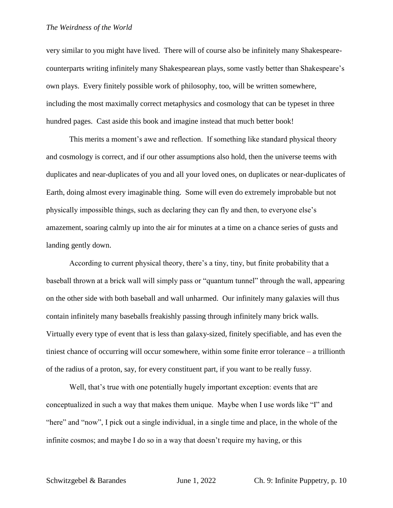very similar to you might have lived. There will of course also be infinitely many Shakespearecounterparts writing infinitely many Shakespearean plays, some vastly better than Shakespeare's own plays. Every finitely possible work of philosophy, too, will be written somewhere, including the most maximally correct metaphysics and cosmology that can be typeset in three hundred pages. Cast aside this book and imagine instead that much better book!

This merits a moment's awe and reflection. If something like standard physical theory and cosmology is correct, and if our other assumptions also hold, then the universe teems with duplicates and near-duplicates of you and all your loved ones, on duplicates or near-duplicates of Earth, doing almost every imaginable thing. Some will even do extremely improbable but not physically impossible things, such as declaring they can fly and then, to everyone else's amazement, soaring calmly up into the air for minutes at a time on a chance series of gusts and landing gently down.

According to current physical theory, there's a tiny, tiny, but finite probability that a baseball thrown at a brick wall will simply pass or "quantum tunnel" through the wall, appearing on the other side with both baseball and wall unharmed. Our infinitely many galaxies will thus contain infinitely many baseballs freakishly passing through infinitely many brick walls. Virtually every type of event that is less than galaxy-sized, finitely specifiable, and has even the tiniest chance of occurring will occur somewhere, within some finite error tolerance – a trillionth of the radius of a proton, say, for every constituent part, if you want to be really fussy.

Well, that's true with one potentially hugely important exception: events that are conceptualized in such a way that makes them unique. Maybe when I use words like "I" and "here" and "now", I pick out a single individual, in a single time and place, in the whole of the infinite cosmos; and maybe I do so in a way that doesn't require my having, or this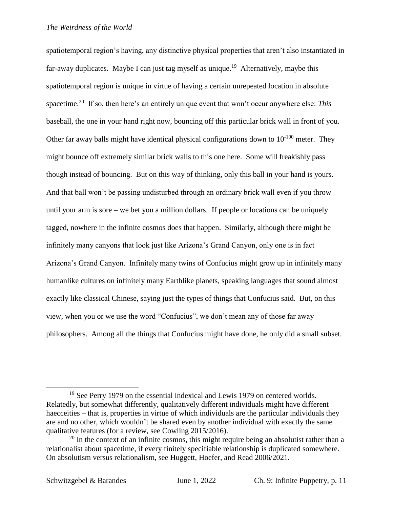spatiotemporal region's having, any distinctive physical properties that aren't also instantiated in far-away duplicates. Maybe I can just tag myself as unique.<sup>19</sup> Alternatively, maybe this spatiotemporal region is unique in virtue of having a certain unrepeated location in absolute spacetime.<sup>20</sup> If so, then here's an entirely unique event that won't occur anywhere else: This baseball, the one in your hand right now, bouncing off this particular brick wall in front of you. Other far away balls might have identical physical configurations down to  $10^{-100}$  meter. They might bounce off extremely similar brick walls to this one here. Some will freakishly pass though instead of bouncing. But on this way of thinking, only this ball in your hand is yours. And that ball won't be passing undisturbed through an ordinary brick wall even if you throw until your arm is sore – we bet you a million dollars. If people or locations can be uniquely tagged, nowhere in the infinite cosmos does that happen. Similarly, although there might be infinitely many canyons that look just like Arizona's Grand Canyon, only one is in fact Arizona's Grand Canyon. Infinitely many twins of Confucius might grow up in infinitely many humanlike cultures on infinitely many Earthlike planets, speaking languages that sound almost exactly like classical Chinese, saying just the types of things that Confucius said. But, on this view, when you or we use the word "Confucius", we don't mean any of those far away philosophers. Among all the things that Confucius might have done, he only did a small subset.

 $19$  See Perry 1979 on the essential indexical and Lewis 1979 on centered worlds. Relatedly, but somewhat differently, qualitatively different individuals might have different haecceities – that is, properties in virtue of which individuals are the particular individuals they are and no other, which wouldn't be shared even by another individual with exactly the same qualitative features (for a review, see Cowling 2015/2016).

 $20$  In the context of an infinite cosmos, this might require being an absolutist rather than a relationalist about spacetime, if every finitely specifiable relationship is duplicated somewhere. On absolutism versus relationalism, see Huggett, Hoefer, and Read 2006/2021.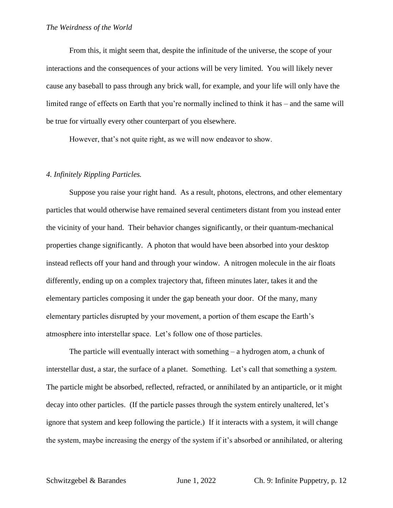From this, it might seem that, despite the infinitude of the universe, the scope of your interactions and the consequences of your actions will be very limited. You will likely never cause any baseball to pass through any brick wall, for example, and your life will only have the limited range of effects on Earth that you're normally inclined to think it has – and the same will be true for virtually every other counterpart of you elsewhere.

However, that's not quite right, as we will now endeavor to show.

#### *4. Infinitely Rippling Particles.*

Suppose you raise your right hand. As a result, photons, electrons, and other elementary particles that would otherwise have remained several centimeters distant from you instead enter the vicinity of your hand. Their behavior changes significantly, or their quantum-mechanical properties change significantly. A photon that would have been absorbed into your desktop instead reflects off your hand and through your window. A nitrogen molecule in the air floats differently, ending up on a complex trajectory that, fifteen minutes later, takes it and the elementary particles composing it under the gap beneath your door. Of the many, many elementary particles disrupted by your movement, a portion of them escape the Earth's atmosphere into interstellar space. Let's follow one of those particles.

The particle will eventually interact with something – a hydrogen atom, a chunk of interstellar dust, a star, the surface of a planet. Something. Let's call that something a *system.* The particle might be absorbed, reflected, refracted, or annihilated by an antiparticle, or it might decay into other particles. (If the particle passes through the system entirely unaltered, let's ignore that system and keep following the particle.) If it interacts with a system, it will change the system, maybe increasing the energy of the system if it's absorbed or annihilated, or altering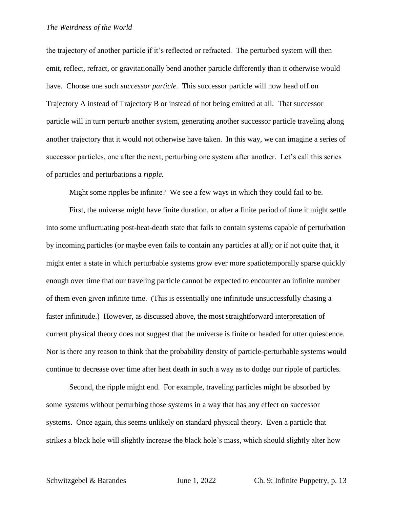the trajectory of another particle if it's reflected or refracted. The perturbed system will then emit, reflect, refract, or gravitationally bend another particle differently than it otherwise would have. Choose one such *successor particle.* This successor particle will now head off on Trajectory A instead of Trajectory B or instead of not being emitted at all. That successor particle will in turn perturb another system, generating another successor particle traveling along another trajectory that it would not otherwise have taken. In this way, we can imagine a series of successor particles, one after the next, perturbing one system after another. Let's call this series of particles and perturbations a *ripple.*

Might some ripples be infinite? We see a few ways in which they could fail to be.

First, the universe might have finite duration, or after a finite period of time it might settle into some unfluctuating post-heat-death state that fails to contain systems capable of perturbation by incoming particles (or maybe even fails to contain any particles at all); or if not quite that, it might enter a state in which perturbable systems grow ever more spatiotemporally sparse quickly enough over time that our traveling particle cannot be expected to encounter an infinite number of them even given infinite time. (This is essentially one infinitude unsuccessfully chasing a faster infinitude.) However, as discussed above, the most straightforward interpretation of current physical theory does not suggest that the universe is finite or headed for utter quiescence. Nor is there any reason to think that the probability density of particle-perturbable systems would continue to decrease over time after heat death in such a way as to dodge our ripple of particles.

Second, the ripple might end. For example, traveling particles might be absorbed by some systems without perturbing those systems in a way that has any effect on successor systems. Once again, this seems unlikely on standard physical theory. Even a particle that strikes a black hole will slightly increase the black hole's mass, which should slightly alter how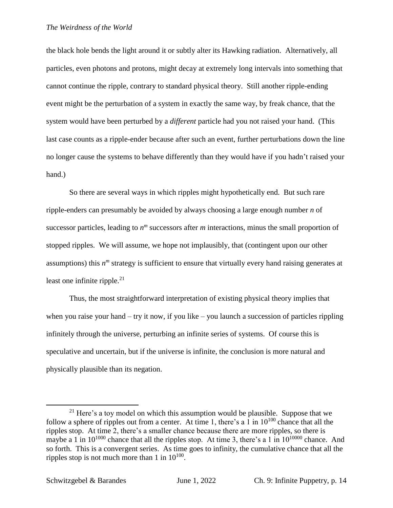the black hole bends the light around it or subtly alter its Hawking radiation. Alternatively, all particles, even photons and protons, might decay at extremely long intervals into something that cannot continue the ripple, contrary to standard physical theory. Still another ripple-ending event might be the perturbation of a system in exactly the same way, by freak chance, that the system would have been perturbed by a *different* particle had you not raised your hand. (This last case counts as a ripple-ender because after such an event, further perturbations down the line no longer cause the systems to behave differently than they would have if you hadn't raised your hand.)

So there are several ways in which ripples might hypothetically end. But such rare ripple-enders can presumably be avoided by always choosing a large enough number *n* of successor particles, leading to  $n<sup>m</sup>$  successors after  $m$  interactions, minus the small proportion of stopped ripples. We will assume, we hope not implausibly, that (contingent upon our other assumptions) this  $n^m$  strategy is sufficient to ensure that virtually every hand raising generates at least one infinite ripple. $2<sup>1</sup>$ 

Thus, the most straightforward interpretation of existing physical theory implies that when you raise your hand  $-$  try it now, if you like  $-$  you launch a succession of particles rippling infinitely through the universe, perturbing an infinite series of systems. Of course this is speculative and uncertain, but if the universe is infinite, the conclusion is more natural and physically plausible than its negation.

 $21$  Here's a toy model on which this assumption would be plausible. Suppose that we follow a sphere of ripples out from a center. At time 1, there's a 1 in  $10^{100}$  chance that all the ripples stop. At time 2, there's a smaller chance because there are more ripples, so there is maybe a 1 in  $10^{1000}$  chance that all the ripples stop. At time 3, there's a 1 in  $10^{10000}$  chance. And so forth. This is a convergent series. As time goes to infinity, the cumulative chance that all the ripples stop is not much more than 1 in  $10^{100}$ .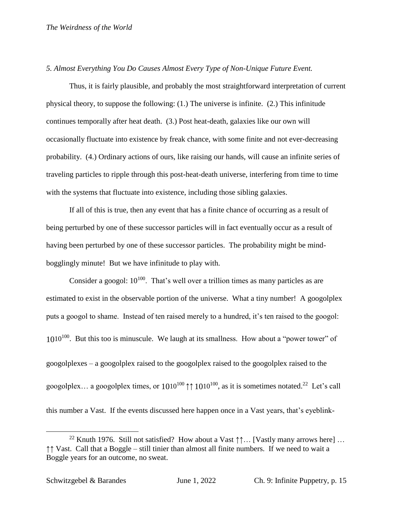#### *5. Almost Everything You Do Causes Almost Every Type of Non-Unique Future Event.*

Thus, it is fairly plausible, and probably the most straightforward interpretation of current physical theory, to suppose the following: (1.) The universe is infinite. (2.) This infinitude continues temporally after heat death. (3.) Post heat-death, galaxies like our own will occasionally fluctuate into existence by freak chance, with some finite and not ever-decreasing probability. (4.) Ordinary actions of ours, like raising our hands, will cause an infinite series of traveling particles to ripple through this post-heat-death universe, interfering from time to time with the systems that fluctuate into existence, including those sibling galaxies.

If all of this is true, then any event that has a finite chance of occurring as a result of being perturbed by one of these successor particles will in fact eventually occur as a result of having been perturbed by one of these successor particles. The probability might be mindbogglingly minute! But we have infinitude to play with.

Consider a googol:  $10^{100}$ . That's well over a trillion times as many particles as are estimated to exist in the observable portion of the universe. What a tiny number! A googolplex puts a googol to shame. Instead of ten raised merely to a hundred, it's ten raised to the googol:  $1010^{100}$ . But this too is minuscule. We laugh at its smallness. How about a "power tower" of googolplexes – a googolplex raised to the googolplex raised to the googolplex raised to the googolplex... a googolplex times, or  $10^{10^{100}}$   $\uparrow \uparrow 10^{10^{100}}$ , as it is sometimes notated.<sup>22</sup> Let's call this number a Vast. If the events discussed here happen once in a Vast years, that's eyeblink-

<sup>&</sup>lt;sup>22</sup> Knuth 1976. Still not satisfied? How about a Vast  $\uparrow\uparrow\ldots$  [Vastly many arrows here] ... ↑↑ Vast. Call that a Boggle – still tinier than almost all finite numbers. If we need to wait a Boggle years for an outcome, no sweat.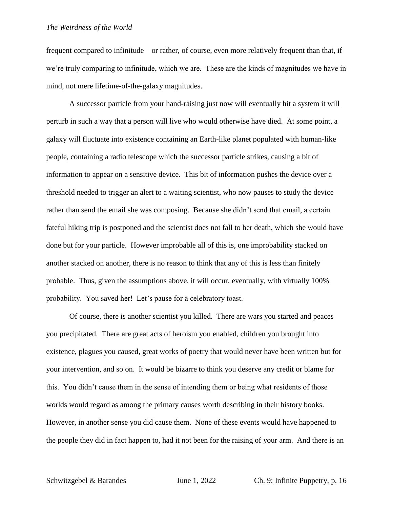frequent compared to infinitude – or rather, of course, even more relatively frequent than that, if we're truly comparing to infinitude, which we are. These are the kinds of magnitudes we have in mind, not mere lifetime-of-the-galaxy magnitudes.

A successor particle from your hand-raising just now will eventually hit a system it will perturb in such a way that a person will live who would otherwise have died. At some point, a galaxy will fluctuate into existence containing an Earth-like planet populated with human-like people, containing a radio telescope which the successor particle strikes, causing a bit of information to appear on a sensitive device. This bit of information pushes the device over a threshold needed to trigger an alert to a waiting scientist, who now pauses to study the device rather than send the email she was composing. Because she didn't send that email, a certain fateful hiking trip is postponed and the scientist does not fall to her death, which she would have done but for your particle. However improbable all of this is, one improbability stacked on another stacked on another, there is no reason to think that any of this is less than finitely probable. Thus, given the assumptions above, it will occur, eventually, with virtually 100% probability. You saved her! Let's pause for a celebratory toast.

Of course, there is another scientist you killed. There are wars you started and peaces you precipitated. There are great acts of heroism you enabled, children you brought into existence, plagues you caused, great works of poetry that would never have been written but for your intervention, and so on. It would be bizarre to think you deserve any credit or blame for this. You didn't cause them in the sense of intending them or being what residents of those worlds would regard as among the primary causes worth describing in their history books. However, in another sense you did cause them. None of these events would have happened to the people they did in fact happen to, had it not been for the raising of your arm. And there is an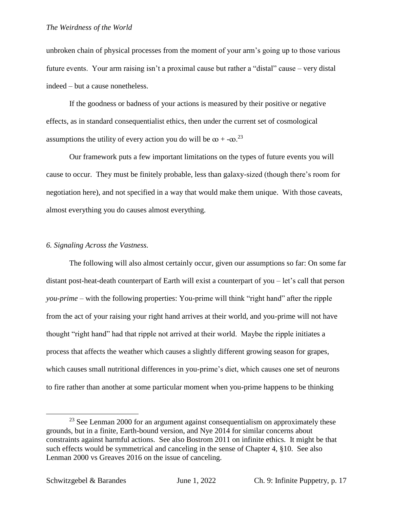unbroken chain of physical processes from the moment of your arm's going up to those various future events. Your arm raising isn't a proximal cause but rather a "distal" cause – very distal indeed – but a cause nonetheless.

If the goodness or badness of your actions is measured by their positive or negative effects, as in standard consequentialist ethics, then under the current set of cosmological assumptions the utility of every action you do will be  $\infty + -\infty$ <sup>23</sup>

Our framework puts a few important limitations on the types of future events you will cause to occur. They must be finitely probable, less than galaxy-sized (though there's room for negotiation here), and not specified in a way that would make them unique. With those caveats, almost everything you do causes almost everything.

## *6. Signaling Across the Vastness.*

The following will also almost certainly occur, given our assumptions so far: On some far distant post-heat-death counterpart of Earth will exist a counterpart of you – let's call that person *you-prime* – with the following properties: You-prime will think "right hand" after the ripple from the act of your raising your right hand arrives at their world, and you-prime will not have thought "right hand" had that ripple not arrived at their world. Maybe the ripple initiates a process that affects the weather which causes a slightly different growing season for grapes, which causes small nutritional differences in you-prime's diet, which causes one set of neurons to fire rather than another at some particular moment when you-prime happens to be thinking

 $23$  See Lenman 2000 for an argument against consequentialism on approximately these grounds, but in a finite, Earth-bound version, and Nye 2014 for similar concerns about constraints against harmful actions. See also Bostrom 2011 on infinite ethics. It might be that such effects would be symmetrical and canceling in the sense of Chapter 4, §10. See also Lenman 2000 vs Greaves 2016 on the issue of canceling.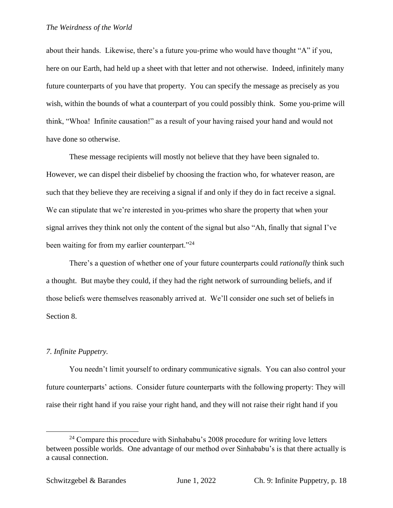about their hands. Likewise, there's a future you-prime who would have thought "A" if you, here on our Earth, had held up a sheet with that letter and not otherwise. Indeed, infinitely many future counterparts of you have that property. You can specify the message as precisely as you wish, within the bounds of what a counterpart of you could possibly think. Some you-prime will think, "Whoa! Infinite causation!" as a result of your having raised your hand and would not have done so otherwise.

These message recipients will mostly not believe that they have been signaled to. However, we can dispel their disbelief by choosing the fraction who, for whatever reason, are such that they believe they are receiving a signal if and only if they do in fact receive a signal. We can stipulate that we're interested in you-primes who share the property that when your signal arrives they think not only the content of the signal but also "Ah, finally that signal I've been waiting for from my earlier counterpart."<sup>24</sup>

There's a question of whether one of your future counterparts could *rationally* think such a thought. But maybe they could, if they had the right network of surrounding beliefs, and if those beliefs were themselves reasonably arrived at. We'll consider one such set of beliefs in Section 8.

## *7. Infinite Puppetry.*

 $\overline{a}$ 

You needn't limit yourself to ordinary communicative signals. You can also control your future counterparts' actions. Consider future counterparts with the following property: They will raise their right hand if you raise your right hand, and they will not raise their right hand if you

 $24$  Compare this procedure with Sinhababu's 2008 procedure for writing love letters between possible worlds. One advantage of our method over Sinhababu's is that there actually is a causal connection.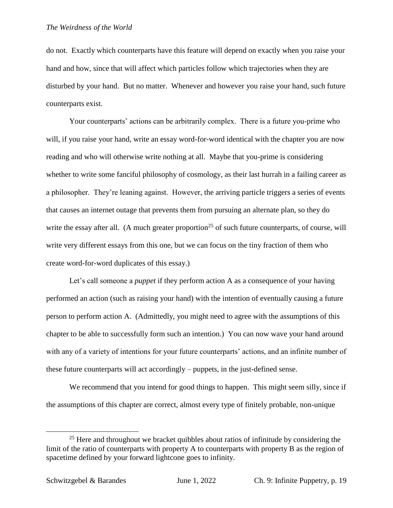do not. Exactly which counterparts have this feature will depend on exactly when you raise your hand and how, since that will affect which particles follow which trajectories when they are disturbed by your hand. But no matter. Whenever and however you raise your hand, such future counterparts exist.

Your counterparts' actions can be arbitrarily complex. There is a future you-prime who will, if you raise your hand, write an essay word-for-word identical with the chapter you are now reading and who will otherwise write nothing at all. Maybe that you-prime is considering whether to write some fanciful philosophy of cosmology, as their last hurrah in a failing career as a philosopher. They're leaning against. However, the arriving particle triggers a series of events that causes an internet outage that prevents them from pursuing an alternate plan, so they do write the essay after all. (A much greater proportion<sup>25</sup> of such future counterparts, of course, will write very different essays from this one, but we can focus on the tiny fraction of them who create word-for-word duplicates of this essay.)

Let's call someone a *puppet* if they perform action A as a consequence of your having performed an action (such as raising your hand) with the intention of eventually causing a future person to perform action A. (Admittedly, you might need to agree with the assumptions of this chapter to be able to successfully form such an intention.) You can now wave your hand around with any of a variety of intentions for your future counterparts' actions, and an infinite number of these future counterparts will act accordingly – puppets, in the just-defined sense.

We recommend that you intend for good things to happen. This might seem silly, since if the assumptions of this chapter are correct, almost every type of finitely probable, non-unique

 $25$  Here and throughout we bracket quibbles about ratios of infinitude by considering the limit of the ratio of counterparts with property A to counterparts with property B as the region of spacetime defined by your forward lightcone goes to infinity.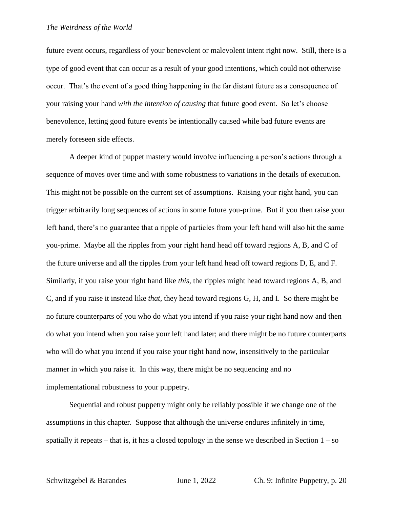future event occurs, regardless of your benevolent or malevolent intent right now. Still, there is a type of good event that can occur as a result of your good intentions, which could not otherwise occur. That's the event of a good thing happening in the far distant future as a consequence of your raising your hand *with the intention of causing* that future good event. So let's choose benevolence, letting good future events be intentionally caused while bad future events are merely foreseen side effects.

A deeper kind of puppet mastery would involve influencing a person's actions through a sequence of moves over time and with some robustness to variations in the details of execution. This might not be possible on the current set of assumptions. Raising your right hand, you can trigger arbitrarily long sequences of actions in some future you-prime. But if you then raise your left hand, there's no guarantee that a ripple of particles from your left hand will also hit the same you-prime. Maybe all the ripples from your right hand head off toward regions A, B, and C of the future universe and all the ripples from your left hand head off toward regions D, E, and F. Similarly, if you raise your right hand like *this*, the ripples might head toward regions A, B, and C, and if you raise it instead like *that*, they head toward regions G, H, and I. So there might be no future counterparts of you who do what you intend if you raise your right hand now and then do what you intend when you raise your left hand later; and there might be no future counterparts who will do what you intend if you raise your right hand now, insensitively to the particular manner in which you raise it. In this way, there might be no sequencing and no implementational robustness to your puppetry.

Sequential and robust puppetry might only be reliably possible if we change one of the assumptions in this chapter. Suppose that although the universe endures infinitely in time, spatially it repeats – that is, it has a closed topology in the sense we described in Section  $1 - so$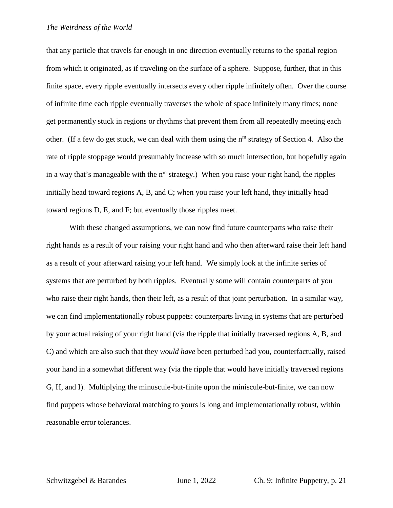that any particle that travels far enough in one direction eventually returns to the spatial region from which it originated, as if traveling on the surface of a sphere. Suppose, further, that in this finite space, every ripple eventually intersects every other ripple infinitely often. Over the course of infinite time each ripple eventually traverses the whole of space infinitely many times; none get permanently stuck in regions or rhythms that prevent them from all repeatedly meeting each other. (If a few do get stuck, we can deal with them using the  $n<sup>m</sup>$  strategy of Section 4. Also the rate of ripple stoppage would presumably increase with so much intersection, but hopefully again in a way that's manageable with the  $n<sup>m</sup>$  strategy.) When you raise your right hand, the ripples initially head toward regions A, B, and C; when you raise your left hand, they initially head toward regions D, E, and F; but eventually those ripples meet.

With these changed assumptions, we can now find future counterparts who raise their right hands as a result of your raising your right hand and who then afterward raise their left hand as a result of your afterward raising your left hand. We simply look at the infinite series of systems that are perturbed by both ripples. Eventually some will contain counterparts of you who raise their right hands, then their left, as a result of that joint perturbation. In a similar way, we can find implementationally robust puppets: counterparts living in systems that are perturbed by your actual raising of your right hand (via the ripple that initially traversed regions A, B, and C) and which are also such that they *would have* been perturbed had you, counterfactually, raised your hand in a somewhat different way (via the ripple that would have initially traversed regions G, H, and I). Multiplying the minuscule-but-finite upon the miniscule-but-finite, we can now find puppets whose behavioral matching to yours is long and implementationally robust, within reasonable error tolerances.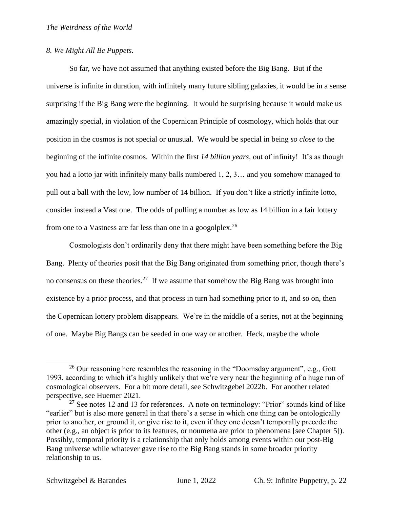## *8. We Might All Be Puppets.*

So far, we have not assumed that anything existed before the Big Bang. But if the universe is infinite in duration, with infinitely many future sibling galaxies, it would be in a sense surprising if the Big Bang were the beginning. It would be surprising because it would make us amazingly special, in violation of the Copernican Principle of cosmology, which holds that our position in the cosmos is not special or unusual. We would be special in being *so close* to the beginning of the infinite cosmos. Within the first *14 billion years,* out of infinity! It's as though you had a lotto jar with infinitely many balls numbered 1, 2, 3… and you somehow managed to pull out a ball with the low, low number of 14 billion. If you don't like a strictly infinite lotto, consider instead a Vast one. The odds of pulling a number as low as 14 billion in a fair lottery from one to a Vastness are far less than one in a googolplex.<sup>26</sup>

Cosmologists don't ordinarily deny that there might have been something before the Big Bang. Plenty of theories posit that the Big Bang originated from something prior, though there's no consensus on these theories.<sup>27</sup> If we assume that somehow the Big Bang was brought into existence by a prior process, and that process in turn had something prior to it, and so on, then the Copernican lottery problem disappears. We're in the middle of a series, not at the beginning of one. Maybe Big Bangs can be seeded in one way or another. Heck, maybe the whole

 $26$  Our reasoning here resembles the reasoning in the "Doomsday argument", e.g., Gott 1993, according to which it's highly unlikely that we're very near the beginning of a huge run of cosmological observers. For a bit more detail, see Schwitzgebel 2022b. For another related perspective, see Huemer 2021.

 $27$  See notes 12 and 13 for references. A note on terminology: "Prior" sounds kind of like "earlier" but is also more general in that there's a sense in which one thing can be ontologically prior to another, or ground it, or give rise to it, even if they one doesn't temporally precede the other (e.g., an object is prior to its features, or noumena are prior to phenomena [see Chapter 5]). Possibly, temporal priority is a relationship that only holds among events within our post-Big Bang universe while whatever gave rise to the Big Bang stands in some broader priority relationship to us.